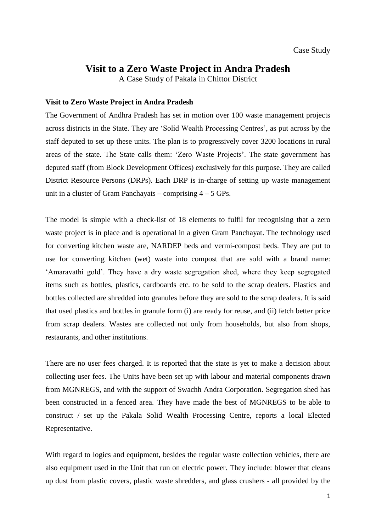## **Visit to a Zero Waste Project in Andra Pradesh**

A Case Study of Pakala in Chittor District

## **Visit to Zero Waste Project in Andra Pradesh**

The Government of Andhra Pradesh has set in motion over 100 waste management projects across districts in the State. They are 'Solid Wealth Processing Centres', as put across by the staff deputed to set up these units. The plan is to progressively cover 3200 locations in rural areas of the state. The State calls them: 'Zero Waste Projects'. The state government has deputed staff (from Block Development Offices) exclusively for this purpose. They are called District Resource Persons (DRPs). Each DRP is in-charge of setting up waste management unit in a cluster of Gram Panchayats – comprising  $4 - 5$  GPs.

The model is simple with a check-list of 18 elements to fulfil for recognising that a zero waste project is in place and is operational in a given Gram Panchayat. The technology used for converting kitchen waste are, NARDEP beds and vermi-compost beds. They are put to use for converting kitchen (wet) waste into compost that are sold with a brand name: 'Amaravathi gold'. They have a dry waste segregation shed, where they keep segregated items such as bottles, plastics, cardboards etc. to be sold to the scrap dealers. Plastics and bottles collected are shredded into granules before they are sold to the scrap dealers. It is said that used plastics and bottles in granule form (i) are ready for reuse, and (ii) fetch better price from scrap dealers. Wastes are collected not only from households, but also from shops, restaurants, and other institutions.

There are no user fees charged. It is reported that the state is yet to make a decision about collecting user fees. The Units have been set up with labour and material components drawn from MGNREGS, and with the support of Swachh Andra Corporation. Segregation shed has been constructed in a fenced area. They have made the best of MGNREGS to be able to construct / set up the Pakala Solid Wealth Processing Centre, reports a local Elected Representative.

With regard to logics and equipment, besides the regular waste collection vehicles, there are also equipment used in the Unit that run on electric power. They include: blower that cleans up dust from plastic covers, plastic waste shredders, and glass crushers - all provided by the